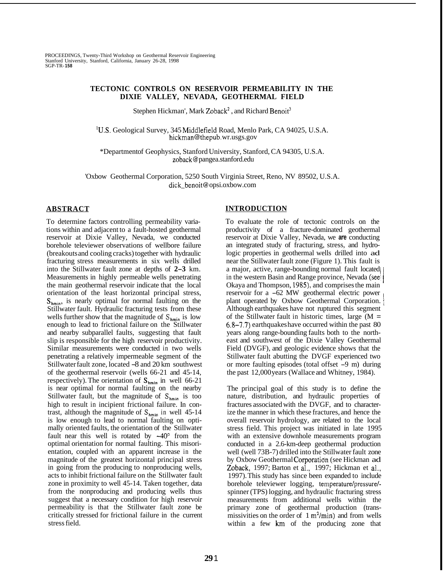## **TECTONIC CONTROLS ON RESERVOIR PERMEABILITY IN THE DIXIE VALLEY, NEVADA, GEOTHERMAL FIELD**

Stephen Hickman', Mark Zoback<sup>2</sup>, and Richard Benoit<sup>3</sup>

**'US.** Geological Survey, 345 Middlefield Road, Menlo Park, CA 94025, U.S.A. hickman @ thepub[. wr.usgs.gov](http://wr.usgs.gov)

\*Department of Geophysics, Stanford University, Stanford, CA 94305, U.S.A. zoback[@ pangea.stanford.edu](http://pangea.stanford.edu)

'Oxbow Geothermal Corporation, 5250 South Virginia Street, Reno, NV 89502, U.S.A. dick\_benoit@[opsi.oxbow.com](http://opsi.oxbow.com)

## **ABSTRACT**

To determine factors controlling permeability variations within and adjacent to a fault-hosted geothermal reservoir at Dixie Valley, Nevada, we conducted borehole televiewer observations of wellbore failure (breakouts and cooling cracks) together with hydraulic fracturing stress measurements in six wells drilled into the Stillwater fault zone at depths of **2-3** km. Measurements in highly permeable wells penetrating the main geothermal reservoir indicate that the local orientation of the least horizontal principal stress,  $S_{\text{hmin}}$ , is nearly optimal for normal faulting on the Stillwater fault. Hydraulic fracturing tests from these wells further show that the magnitude of  $S_{hmin}$  is low enough to lead to frictional failure on the Stillwater and nearby subparallel faults, suggesting that fault slip is responsible for the high reservoir productivity. Similar measurements were conducted in two wells penetrating a relatively impermeable segment of the Stillwater fault zone, located -8 and 20 km southwest of the geothermal reservoir (wells 66-21 and 45-14, respectively). The orientation of  $S_{\text{hmin}}$  in well 66-21 is near optimal for normal faulting on the nearby Stillwater fault, but the magnitude of  $S_{hmin}$  is too high to result in incipient frictional failure. In contrast, although the magnitude of  $S_{hmin}$  in well 45-14 is low enough to lead to normal faulting on optimally oriented faults, the orientation of the Stillwater fault near this well is rotated by  $-40^{\circ}$  from the optimal orientation for normal faulting. This misorientation, coupled with an apparent increase in the magnitude of the greatest horizontal principal stress in going from the producing to nonproducing wells, acts to inhibit frictional failure on the Stillwater fault zone in proximity to well 45-14. Taken together, data from the nonproducing and producing wells thus suggest that a necessary condition for high reservoir permeability is that the Stillwater fault zone be critically stressed for frictional failure in the current stress field.

#### **INTRODUCTION**

To evaluate the role of tectonic controls on the productivity of a fracture-dominated geothermal reservoir at Dixie Valley, Nevada, we **are** conducting an integrated study of fracturing, stress, and hydrologic properties in geothermal wells drilled into ad near the Stillwater fault zone (Figure 1). This fault is a major, active, range-bounding normal fault located in the western Basin and Range province, Nevada (see Okaya and Thompson, 1985), and comprises the main reservoir for a  $-62$  MW geothermal electric power plant operated by Oxbow Geothermal Corporation. Although earthquakes have not ruptured this segment of the Stillwater fault in historic times, large  $(M =$ 6.8-7.7) earthquakes have occurred within the past 80 years along range-bounding faults both to the northeast and southwest of the Dixie Valley Geothermal Field (DVGF), and geologic evidence shows that the Stillwater fault abutting the DVGF experienced two or more faulting episodes (total offset -9 m) during the past 12,000 years (Wallace and Whitney, 1984).

The principal goal of this study is to define the nature, distribution, and hydraulic properties of fractures associated with the DVGF, and to characterize the manner in which these fractures, and hence the overall reservoir hydrology, are related to the local stress field. This project was initiated in late 1995 with an extensive downhole measurements program conducted in a 2.6-km-deep geothermal production well (well 73B-7) drilled into the Stillwater fault zone by Oxbow Geothermal Corporation (see Hickman ad Zoback, 1997; Barton et al., 1997; Hickman et al., 1997). This study has since been expanded to include borehole televiewer logging, temperature/pressure/ spinner (TPS) logging, and hydraulic fracturing stress measurements from additional wells within the primary zone of geothermal production (transmissivities on the order of  $1 \text{ m}^2/\text{min}$  and from wells within a few **km** of the producing zone that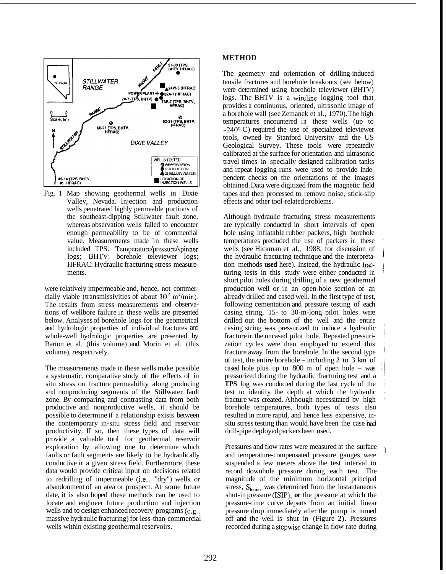

[Fig.](#page--1-0) 1 Map showing geothermal wells in Dixie Valley, Nevada. Injection and production wells penetrated highly permeable portions of the southeast-dipping Stillwater fault zone, whereas observation wells failed to encounter enough permeability to be of commercial value. Measurements made 'in these wells included TPS: **Temperature/pressure/spinner**  logs; BHTV: borehole televiewer logs; HFRAC: Hydraulic fracturing stress measurements.

were relatively impermeable and, hence, not commercially viable (transmissivities of about  $10^{-4}$  m<sup>2</sup>/min). The results from stress measurements and observations of wellbore failure in these wells are presented below. Analyses of borehole logs for the geometrical and hydrologic properties of individual fractures and whole-well hydrologic properties are presented by Barton et al. (this volume) and Morin et al. (this volume), respectively.

The measurements made in these wells make possible a systematic, comparative study of the effects of in situ stress on fracture permeability along producing and nonproducing segments of the Stillwater fault zone. By comparing and contrasting data from both productive and nonproductive wells, it should be possible to determine if a relationship exists between the contemporary in-situ stress field and reservoir productivity. If so, then these types of data will provide a valuable tool for geothermal reservoir exploration by allowing one to determine which faults or fault segments are likely to be hydraulically conductive in a given stress field. Furthermore, these data would provide critical input on decisions related to redrilling of impermeable (i.e., "dry") wells or abandonment of an area or prospect. At some future date, it is also hoped these methods can be used to locate and engineer future production and injection wells and to design enhanced recovery programs (e.g., massive hydraulic fracturing) for less-than-commercial wells within existing geothermal reservoirs.

# **METHOD**

The geometry and orientation of drilling-induced tensile fractures and borehole breakouts (see below) were determined using borehole televiewer (BHTV) logs. The BHTV is a wireline logging tool that provides a continuous, oriented, ultrasonic image of a borehole wall (see Zemanek et al., 1970). The high temperatures encountered in these wells (up to **-240"** C) required the use of specialized televiewer tools, owned by Stanford University and the US Geological Survey. These tools were repeatedly calibrated at the surface for orientation and ultrasonic travel times in specially designed calibration tanks and repeat logging runs were used to provide independent checks on the orientations of the images obtained. Data were digitized from the magnetic field tapes and then processed to remove noise, stick-slip effects and other tool-related problems.

Although hydraulic fracturing stress measurements are typically conducted in short intervals of open hole using inflatable rubber packers, high borehole temperatures precluded the use of packers in these wells (see Hickman et al., 1988, for discussion of the hydraulic fracturing technique and the interpretation methods **used** here). Instead, the hydraulic fixturing tests in this study were either conducted in short pilot holes during drilling of a new geothermal production well or in an open-hole section of an already drilled and cased well. In the first type of test, following cementation and pressure testing of each casing string, 15- to 30-m-long pilot holes were drilled out the bottom of the well and the entire casing string was pressurized to induce a hydraulic fracture in the uncased pilot hole. Repeated pressurization cycles were then employed to extend this fracture away from the borehole. In the second type of test, the entire borehole - including *2* to 3 km of cased hole plus up to 800 m of open hole - was pressurized during the hydraulic fracturing test and a **TPS** log was conducted during the last cycle of the test to identify the depth at which the hydraulic fracture was created. Although necessitated by high borehole temperatures, both types of tests also resulted in more rapid, and hence less expensive, insitu stress testing than would have been the case had drill-pipe deployed packers been used.

Pressures and flow rates were measured at the surface and temperature-compensated pressure gauges were suspended a few meters above the test interval to record downhole pressure during each test. The magnitude of the minimum horizontal principal stress,  $S_{hmin}$ , was determined from the instantaneous shut-in pressure **(ISIF'), or** the pressure at which the pressure-time curve departs from an initial linear pressure drop immediately after the pump is turned off and the well is shut in (Figure **2).** Pressures recorded during a stepwise change in flow rate during

1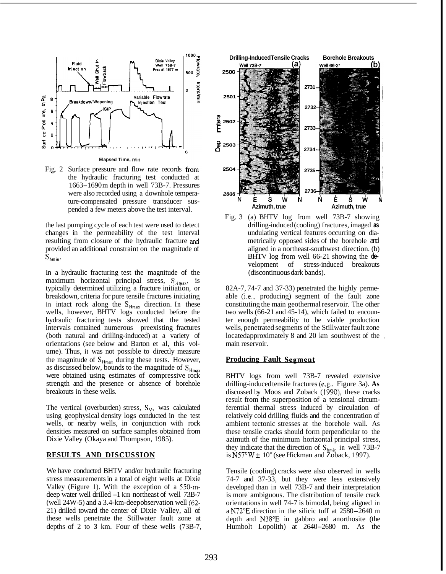

[Fig.](#page--1-0) 2 Surface pressure and flow rate records from the hydraulic fracturing test conducted at 1663-1690 m depth in well 73B-7. Pressures were also recorded using a downhole temperature-compensated pressure transducer suspended a few meters above the test interval.

the last pumping cycle of each test were used to detect changes in the permeability of the test interval resulting from closure of the hydraulic fracture and provided an additional constraint on the magnitude of **Shmin.** 

In a hydraulic fracturing test the magnitude of the maximum horizontal principal stress, S<sub>Hmax</sub>, is typically determined utilizing a fracture initiation, or breakdown, criteria for pure tensile fractures initiating in intact rock along the  $S_{Hmax}$  direction. In these wells, however, BHTV logs conducted before the hydraulic fracturing tests showed that the tested intervals contained numerous preexisting fractures (both natural and drilling-induced) at a variety of orientations (see below and Barton et al, this volume). Thus, it was not possible to directly measure the magnitude of  $S_{Hmax}$  during these tests. However, as discussed below, bounds to the magnitude of S<sub>Hmax</sub> were obtained using estimates of compressive rock strength and the presence or absence of borehole breakouts in these wells.

The vertical (overburden) stress,  $S_{v}$ , was calculated using geophysical density logs conducted in the test wells, or nearby wells, in conjunction with rock densities measured on surface samples obtained from Dixie Valley (Okaya and Thompson, 1985).

#### **RESULTS AND DISCUSSION**

We have conducted BHTV and/or hydraulic fracturing stress measurements in a total of eight wells at Dixie Valley (Figure 1). With the exception of a 550-mdeep water well drilled -1 km northeast of well 73B-7 (well  $24W-5$ ) and a 3.4-km-deep observation well (62-21) drilled toward the center of Dixie Valley, all of these wells penetrate the Stillwater fault zone at depths of 2 to **3** km. Four of these wells (73B-7,



[Fig.](#page--1-0) 3 (a) BHTV log from well 73B-7 showing drilling-induced (cooling) fractures, imaged **as**  undulating vertical features occurring on diametrically opposed sides of the borehole and aligned in a northeast-southwest direction. (b) BHTV log from well 66-21 showing the **de**velopment of stress-induced breakouts (discontinuous dark bands).

82A-7, 74-7 and 37-33) penetrated the highly permeable (i.e., producing) segment of the fault zone constituting the main geothermal reservoir. The other two wells (66-21 and 45-14), which failed to encounter enough permeability to be viable production wells, penetrated segments of the Stillwater fault zone locatedapproximately 8 and 20 km southwest of the main reservoir.

#### **Producing Fault Segment**

BHTV logs from well 73B-7 revealed extensive drilling-induced tensile fractures (e.g., Figure 3a). **As**  discussed by Moos and Zoback (1990), these cracks result from the superposition of a tensional circumferential thermal stress induced by circulation of relatively cold drilling fluids and the concentration of ambient tectonic stresses at the borehole wall. As these tensile cracks should form perpendicular to the azimuth of the minimum horizontal principal stress, they indicate that the direction of S<sub>hmin</sub> in well 73B-7 is N57°W  $\pm$  10" (see Hickman and Zoback, 1997).

Tensile (cooling) cracks were also observed in wells 74-7 and 37-33, but they were less extensively developed than in well 73B-7 and their interpretation is more ambiguous. The distribution of tensile crack orientations in well 74-7 is bimodal, being aligned in a N72"E direction in the silicic tuff at 2580-2640 m depth and N38"E in gabbro and anorthosite (the Humbolt Lopolith) at 2640-2680 m. As the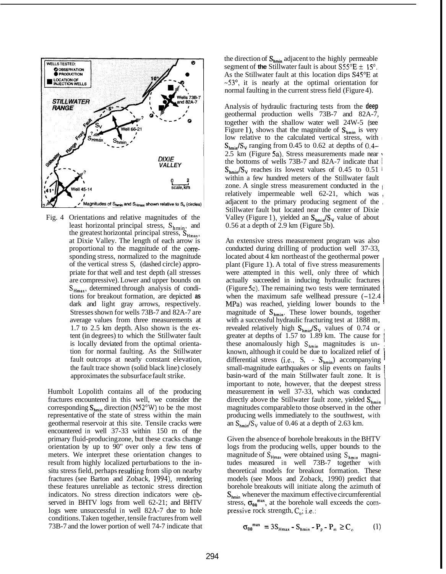

Fig. 4 Orientations and relative magnitudes of the least horizontal principal stress, S<sub>hmin</sub>, and the greatest horizontal principal stress,  $S_{H_{\text{max}}}$ , at Dixie Valley. The length of each arrow is proportional to the magnitude of the corresponding stress, normalized to the magnitude of the vertical stress S, (dashed circle) appropriate for that well and test depth (all stresses are compressive). Lower and upper bounds on **SHmax,** determined through analysis of conditions for breakout formation, are depicted **as**  dark and light gray arrows, respectively. Stresses shown for wells 73B-7 and 82A-7 are average values from three measurements at 1.7 to 2.5 km depth. Also shown is the extent (in degrees) to which the Stillwater fault is locally deviated from the optimal orientation for normal faulting. As the Stillwater fault outcrops at nearly constant elevation, the fault trace shown (solid black line) closely approximates the subsurface fault strike.

Humbolt Lopolith contains all of the producing fractures encountered in this well, we consider the corresponding  $S_{hmin}$  direction (N52°W) to be the most representative of the state of stress within the main geothermal reservoir at this site. Tensile cracks were encountered in well 37-33 within 150 m of the primary fluid-producing zone, but these cracks change orientation by up to 90" over only a few tens of meters. We interpret these orientation changes to result from highly localized perturbations to the insitu stress field, perhaps resulting from slip on nearby fractures (see Barton and Zoback, 1994), rendering these features unreliable as tectonic stress direction indicators. No stress direction indicators were observed in BHTV logs from well 62-21; and BHTV logs were unsuccessful in well 82A-7 due to hole conditions. Taken together, tensile fractures from well 73B-7 and the lower portion of well 74-7 indicate that

the direction of  $S_{hmin}$  adjacent to the highly permeable segment of **the** Stillwater fault is about  $S55^{\circ}E \pm 15^{\circ}$ . As the Stillwater fault at this location dips **S45"E** at  $\sim$ 53 $^{\circ}$ , it is nearly at the optimal orientation for normal faulting in the current stress field (Figure 4).

Analysis of hydraulic fracturing tests from the **deep**  geothermal production wells 73B-7 and 82A-7, together with the shallow water well 24W-5 (see Figure 1), shows that the magnitude of  $S_{hmin}$  is very low relative to the calculated vertical stress, with  $S_{\text{hmin}}/S_{\text{V}}$  ranging from 0.45 to 0.62 at depths of 0.4– 2.5 km (Figure 5a). Stress measurements made near <sup>1</sup> the bottoms of wells 73B-7 and 82A-7 indicate that  $S_{\text{hmin}}/S_{\text{V}}$  reaches its lowest values of 0.45 to 0.51 is within a few hundred meters of the Stillwater fault zone. A single stress measurement conducted in the  $\mu$ relatively impermeable well 62-21, which was , adjacent to the primary producing segment of the , Stillwater fault but located near the center of Dixie Valley (Figure 1), yielded an S<sub>hmin</sub>/S<sub>v</sub> value of about 0.56 at a depth of 2.9 km (Figure 5b).

An extensive stress measurement program was also conducted during drilling of production well 37-33, located about 4 km northeast of the geothermal power plant (Figure 1). A total of five stress measurements were attempted in this well, only three of which actually succeeded in inducing hydraulic fractures (Figure 5c). The remaining two tests were terminated i when the maximum safe wellhead pressure  $(-12.4$ MPa) was reached, yielding lower bounds to the magnitude of  $S_{hmin}$ . These lower bounds, together with a successful hydraulic fracturing test at 1888 m, revealed relatively high  $S_{\text{hmin}}/S_{\text{V}}$  values of 0.74 or greater at depths of  $1.57$  to  $1.89$  km. The cause for these anomalously high  $S_{\text{hmin}}$  magnitudes is unknown, although it could be due to localized relief of differential stress (i.e., S, -  $S_{hmin}$ ) accompanying small-magnitude earthquakes or slip events on faults basin-ward of the main Stillwater fault zone. It is important to note, however, that the deepest stress measurement in well 37-33, which was conducted directly above the Stillwater fault zone, yielded S<sub>hmin</sub> magnitudes comparable to those observed in the other producing wells immediately to the southwest, with an  $S_{\text{hmin}}/S_v$  value of 0.46 at a depth of 2.63 km. I

Given the absence of borehole breakouts in the BHTV logs from the producing wells, upper bounds to the magnitude of  $S_{Hmax}$  were obtained using  $S_{hmin}$  magnitudes measured in well 73B-7 together with theoretical models for breakout formation. These models (see Moos and Zoback, 1990) predict that borehole breakouts will initiate along the azimuth of  $S_{\text{hmin}}$  whenever the maximum effective circumferential stress,  $\sigma_{\theta\theta}$ <sup>max</sup>, at the borehole wall exceeds the compressive rock strength,  $C_0$ ; i.e.:

$$
\sigma_{\theta\theta}^{\text{max}} = 3S_{\text{Hmax}} - S_{\text{hmin}} - P_p - P_m \ge C_o \tag{1}
$$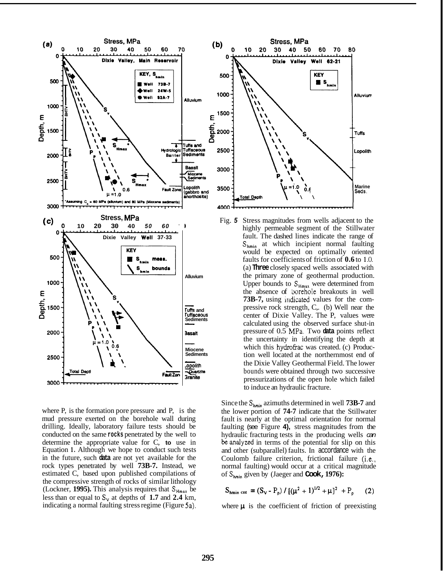

where P, is the formation pore pressure and P, is the mud pressure exerted on the borehole wall during drilling. Ideally, laboratory failure tests should be conducted on the same **rocks** penetrated by the well to determine the appropriate value for C, **to** use in Equation **1.** Although we hope to conduct such tests in the future, such **data** are not yet available for the rock types penetrated by well **73B-7.** Instead, we estimated C, based upon published compilations of the compressive strength of rocks of similar lithology (Lockner, **1995).** This analysis requires that  $S_{H_{\text{max}}}$  be less than or equal to  $S_v$  at depths of 1.7 and 2.4 km, indicating a normal faulting stress regime (Figure 5a).



Fig. *5* Stress magnitudes from wells adjacent to the highly permeable segment of the Stillwater fault. The dashed lines indicate the range of S<sub>hmin</sub> at which incipient normal faulting would be expected on optimally oriented faults for coefficients of friction of **0.6** to **1** .O. (a) **Three** closely spaced wells associated with the primary zone of geothermal production. Upper bounds to  $S_{H_{\text{max}}}$  were determined from the absence of borehole breakouts in well **73B-7,** using indicated values for the compressive rock strength, C,. (b) Well near the center of Dixie Valley. The P, values were calculated using the observed surface shut-in pressure of 0.5 MPa. Two **data** points reflect the uncertainty in identifying the depth at which this hydrofrac was created. (c) Production well located at the northernmost end of the Dixie Valley Geothermal Field. The lower bounds were obtained through two successive pressurizations of the open hole which failed to induce an hydraulic fracture.

Since the *S,* azimuths determined in well **73B-7** and the lower portion of **74-7** indicate that the Stillwater fault is nearly at the optimal orientation for normal faulting (see Figure **4),** stress magnitudes from the hydraulic fracturing tests in the producing wells *can*  be analyzed in terms of the potential for slip on this and other (subparallel) faults. In accordance with the Coulomb failure criterion, frictional failure (i.e., normal faulting) would occur at a critical magnitude of *S,,* given by (Jaeger and **Cook, 1976):** 

$$
S_{\text{hmin ent}} = (S_V - P_p) / [(\mu^2 + 1)^{1/2} + \mu]^2 + P_p \qquad (2)
$$

where  $\mu$  is the coefficient of friction of preexisting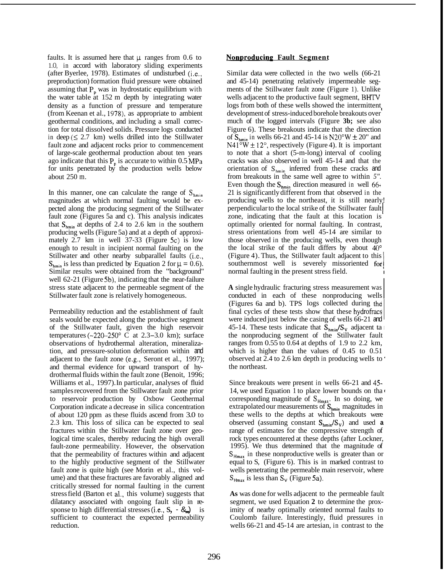faults. It is assumed here that  $\mu$  ranges from 0.6 to 1 .O, in accord with laboratory sliding experiments (after Byerlee, 1978). Estimates of undisturbed (i.e., preproduction) formation fluid pressure were obtained assuming that  $P_n$  was in hydrostatic equilibrium with the water table at 152 m depth by integrating water density as a function of pressure and temperature (from Keenan et al., 1978), as appropriate to ambient geothermal conditions, and including a small correction for total dissolved solids. Pressure logs conducted in deep  $(5 2.7 \text{ km})$  wells drilled into the Stillwater fault zone and adjacent rocks prior to commencement of large-scale geothermal production about ten years ago indicate that this  $P_p$  is accurate to within 0.5 MPa for units penetrated by the production wells below about 250 m.

In this manner, one can calculate the range of  $S_{hmin}$ magnitudes at which normal faulting would be expected along the producing segment of the Stillwater fault zone (Figures 5a and c). This analysis indicates that  $S_{\text{hmin}}$  at depths of 2.4 to 2.6 km in the southern producing wells (Figure 5a) and at a depth of approximately 2.7 km in well 37-33 (Figure 5c) is low enough to result in incipient normal faulting on the Stillwater and other nearby subparallel faults (*i.e.*,  $S_{\text{hmin}}$  is less than predicted by Equation 2 for  $\mu = 0.6$ ). Similar results were obtained from the "background" well 62-21 (Figure 5b), indicating that the near-failure stress state adjacent to the permeable segment of the Stillwater fault zone is relatively homogeneous.

Permeability reduction and the establishment of fault seals would be expected along the productive segment of the Stillwater fault, given the high reservoir temperatures ( $\sim$ 220-250 $\degree$  C at 2.3-3.0 km); surface observations of hydrothermal alteration, mineralization, and pressure-solution deformation within and adjacent to the fault zone (e.g., Seront et al., 1997); and thermal evidence for upward transport of hydrothermal fluids within the fault zone (Benoit, 1996; Williams et al., 1997). In particular, analyses of fluid samples recovered from the Stillwater fault zone prior to reservoir production by Oxbow Geothermal Corporation indicate a decrease in silica concentration of about 120 ppm as these fluids ascend from 3.0 to 2.3 km. This loss of silica can be expected to seal fractures within the Stillwater fault zone over geological time scales, thereby reducing the high overall fault-zone permeability. However, the observation that the permeability of fractures within and adjacent to the highly productive segment of the Stillwater fault zone is quite high (see Morin et al., this volume) and that these fractures are favorably aligned and critically stressed for normal faulting in the current stress field (Barton et al., this volume) suggests that dilatancy associated with ongoing fault slip in response to high differential stresses (i.e., s, - &,,,,,,) is sufficient to counteract the expected permeability reduction.

#### **Nonproducing Fault Segment**

Similar data were collected in the two wells (66-21 and 45-14) penetrating relatively impermeable segments of the Stillwater fault zone (Figure 1). Unlike wells adjacent to the productive fault segment, BHTV logs from both of these wells showed the intermittent development of stress-induced borehole breakouts over much of the logged intervals (Figure **3b;** see also Figure 6). These breakouts indicate that the direction of  $S_{\text{hmin}}$  in wells 66-21 and 45-14 is N20°W  $\pm$  20" and  $N41°W \pm 12°$ , respectively (Figure 4). It is important to note that a short (5-m-long) interval of cooling cracks was also observed in well 45-14 and that the orientation of  $S_{hmin}$  inferred from these cracks and from breakouts in the same well agree to within *5".*  Even though the  $S_{hmin}$  direction measured in well 66<sup>+</sup> 21 is significantly different from that observed in the producing wells to the northeast, it is still nearly! perpendicular to the local strike of the Stillwater fault zone, indicating that the fault at this location is optimally oriented for normal faulting. In contrast, stress orientations from well 45-14 are similar to those observed in the producing wells, even though the local strike of the fault differs by about  $40^{\circ}$ (Figure 4). Thus, the Stillwater fault adjacent to this southernmost well is severely missoriented for normal faulting in the present stress field.

**A** single hydraulic fracturing stress measurement was conducted in each of these nonproducing wells (Figures 6a and b). TPS logs collected during thd final cycles of these tests show that these hydrofracj were induced just below the casing of wells 66-21 and 45-14. These tests indicate that  $S_{\text{bmin}}/S_v$  adjacent ta the nonproducing segment of the Stillwater fault ranges from 0.55 to 0.64 at depths of 1.9 to 2.2 km, which is higher than the values of 0.45 to 0.51 observed at 2.4 to 2.6 km depth in producing wells to ' the northeast. i

Since breakouts were present in wells 66-21 and 45- 14, we used Equation 1 to place lower bounds on tha corresponding magnitude of  $S_{Hmax}$ . In so doing, we extrapolated our measurements of S<sub>hmin</sub> magnitudes in these wells to the depths at which breakouts were observed (assuming constant  $S_{\text{hmin}}/S_v$ ) and used **a** range of estimates for the compressive strength of rock types encountered at these depths (after Lockner, 1995). We thus determined that the magnitude of S<sub>Hmax</sub> in these nonproductive wells is greater than or equal to S, (Figure 6). This is in marked contrast to wells penetrating the permeable main reservoir, where  $S_{Hmax}$  is less than  $S_v$  (Figure 5a).

**As** was done for wells adjacent to the permeable fault segment, we used Equation **2** to determine the proximity of nearby optimally oriented normal faults to Coulomb failure. Interestingly, fluid pressures in wells 66-21 and 45-14 are artesian, in contrast to the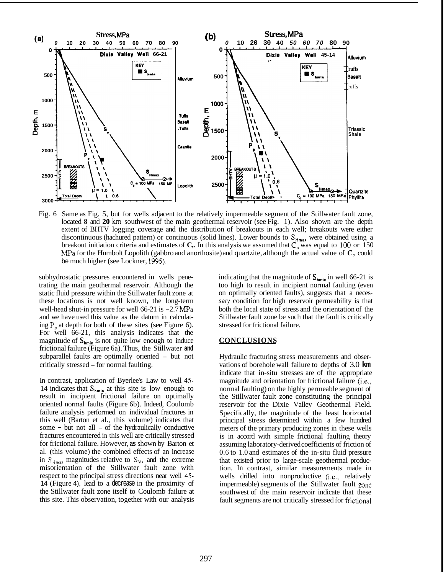

Fig. 6 Same as Fig. 5, but for wells adjacent to the relatively impermeable segment of the Stillwater fault zone, located **8** and **20 km** southwest of the main geothermal reservoir (see Fig. 1). Also shown are the depth extent of BHTV logging coverage and the distribution of breakouts in each well; breakouts were either discontinuous (hachured pattern) or continuous (solid lines). Lower bounds to S<sub>Hmax</sub> were obtained using a breakout initiation criteria and estimates of **C,.** In this analysis we assumed that *C,* was equal to 100 or 150 MPa for the Humbolt Lopolith (gabbro and anorthosite) and quartzite, although the actual value of *C,* could be much higher (see Lockner, **1995).** 

subhydrostatic pressures encountered in wells penetrating the main geothermal reservoir. Although the static fluid pressure within the Stillwater fault zone at these locations is not well known, the long-term well-head shut-in pressure for well 66-21 is -2.7 MPa and we have used this value as the datum in calculating  $P_p$  at depth for both of these sites (see Figure 6). For well 66-21, this analysis indicates that the magnitude of **Shmin** is not quite low enough to induce frictional failure (Figure 6a). Thus, the Stillwater **and**  subparallel faults are optimally oriented - but not critically stressed - for normal faulting.

In contrast, application of Byerlee's Law to well 45- 14 indicates that  $S_{\text{hmin}}$  at this site is low enough to result in incipient frictional failure on optimally oriented normal faults (Figure 6b). Indeed, Coulomb failure analysis performed on individual fractures in this well (Barton et al., this volume) indicates that some  $-$  but not all  $-$  of the hydraulically conductive fractures encountered in this well are critically stressed for frictional failure. However, **as** shown by Barton et al. (this volume) the combined effects of an increase in  $S_{\text{Hmax}}$  magnitudes relative to  $S_{\text{V}}$ , and the extreme misorientation of the Stillwater fault zone with respect to the principal stress directions near well 45- 14 (Figure 4), lead to a decrease in the proximity of the Stillwater fault zone itself to Coulomb failure at this site. This observation, together with our analysis

indicating that the magnitude of  $S_{\text{hmin}}$  in well 66-21 is too high to result in incipient normal faulting (even on optimally oriented faults), suggests that a neces*sary* condition for high reservoir permeability is that both the local state of stress and the orientation of the Stillwater fault zone be such that the fault is critically stressed for frictional failure.

#### **CONCLUS IONS**

Hydraulic fracturing stress measurements and observations of borehole wall failure to depths of 3.0 **km**  indicate that in-situ stresses are of the appropriate magnitude and orientation for frictional failure (i.e., normal faulting) on the highly permeable segment of the Stillwater fault zone constituting the principal reservoir for the Dixie Valley Geothermal Field. Specifically, the magnitude of the least horizontal principal stress determined within a few hundred meters of the primary producing zones in these wells is in accord with simple frictional faulting theory assuming laboratory-derived coefficients of friction of 0.6 to 1.0 and estimates of the in-situ fluid pressure that existed prior to large-scale geothermal production. In contrast, similar measurements made in wells drilled into nonproductive (i.e., relatively impermeable) segments of the Stillwater fault  $z$ one southwest of the main reservoir indicate that these fault segments are not critically stressed for frictional